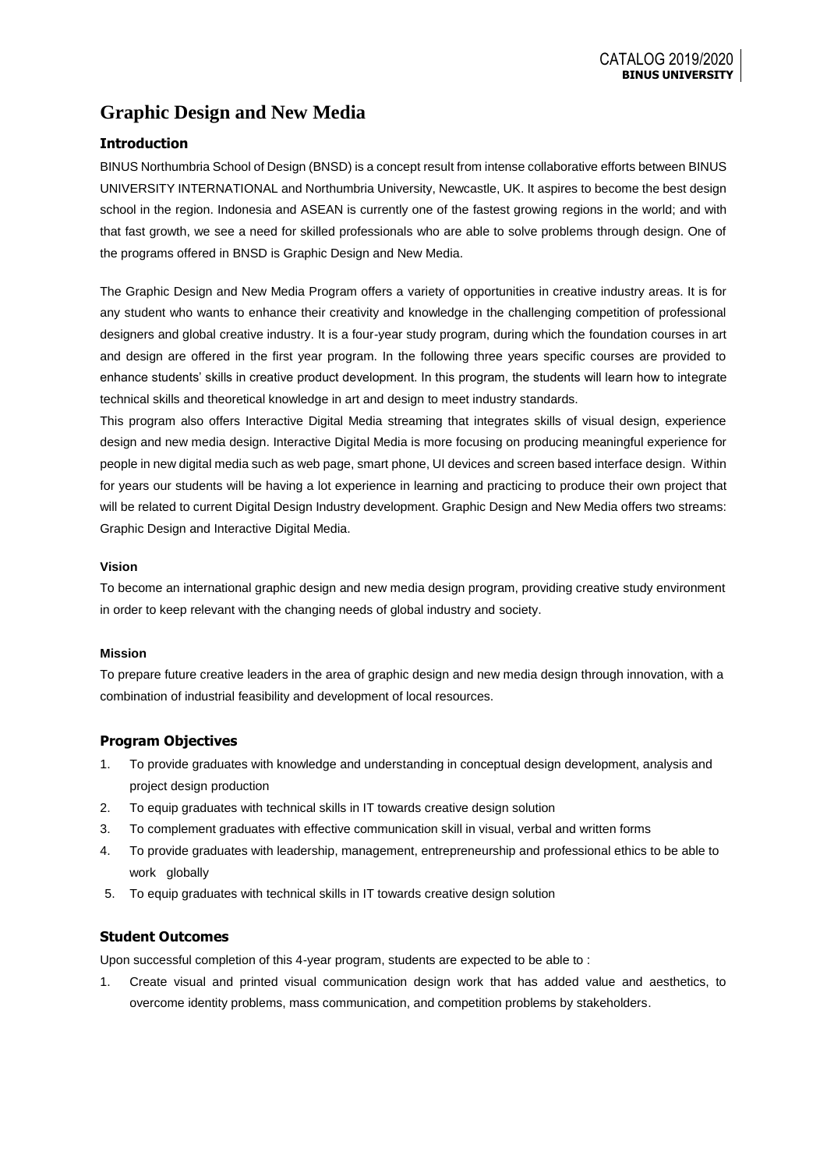# **Graphic Design and New Media**

## **Introduction**

BINUS Northumbria School of Design (BNSD) is a concept result from intense collaborative efforts between BINUS UNIVERSITY INTERNATIONAL and Northumbria University, Newcastle, UK. It aspires to become the best design school in the region. Indonesia and ASEAN is currently one of the fastest growing regions in the world; and with that fast growth, we see a need for skilled professionals who are able to solve problems through design. One of the programs offered in BNSD is Graphic Design and New Media.

The Graphic Design and New Media Program offers a variety of opportunities in creative industry areas. It is for any student who wants to enhance their creativity and knowledge in the challenging competition of professional designers and global creative industry. It is a four-year study program, during which the foundation courses in art and design are offered in the first year program. In the following three years specific courses are provided to enhance students' skills in creative product development. In this program, the students will learn how to integrate technical skills and theoretical knowledge in art and design to meet industry standards.

This program also offers Interactive Digital Media streaming that integrates skills of visual design, experience design and new media design. Interactive Digital Media is more focusing on producing meaningful experience for people in new digital media such as web page, smart phone, UI devices and screen based interface design. Within for years our students will be having a lot experience in learning and practicing to produce their own project that will be related to current Digital Design Industry development. Graphic Design and New Media offers two streams: Graphic Design and Interactive Digital Media.

#### **Vision**

To become an international graphic design and new media design program, providing creative study environment in order to keep relevant with the changing needs of global industry and society.

#### **Mission**

To prepare future creative leaders in the area of graphic design and new media design through innovation, with a combination of industrial feasibility and development of local resources.

## **Program Objectives**

- 1. To provide graduates with knowledge and understanding in conceptual design development, analysis and project design production
- 2. To equip graduates with technical skills in IT towards creative design solution
- 3. To complement graduates with effective communication skill in visual, verbal and written forms
- 4. To provide graduates with leadership, management, entrepreneurship and professional ethics to be able to work globally
- 5. To equip graduates with technical skills in IT towards creative design solution

## **Student Outcomes**

Upon successful completion of this 4-year program, students are expected to be able to :

1. Create visual and printed visual communication design work that has added value and aesthetics, to overcome identity problems, mass communication, and competition problems by stakeholders.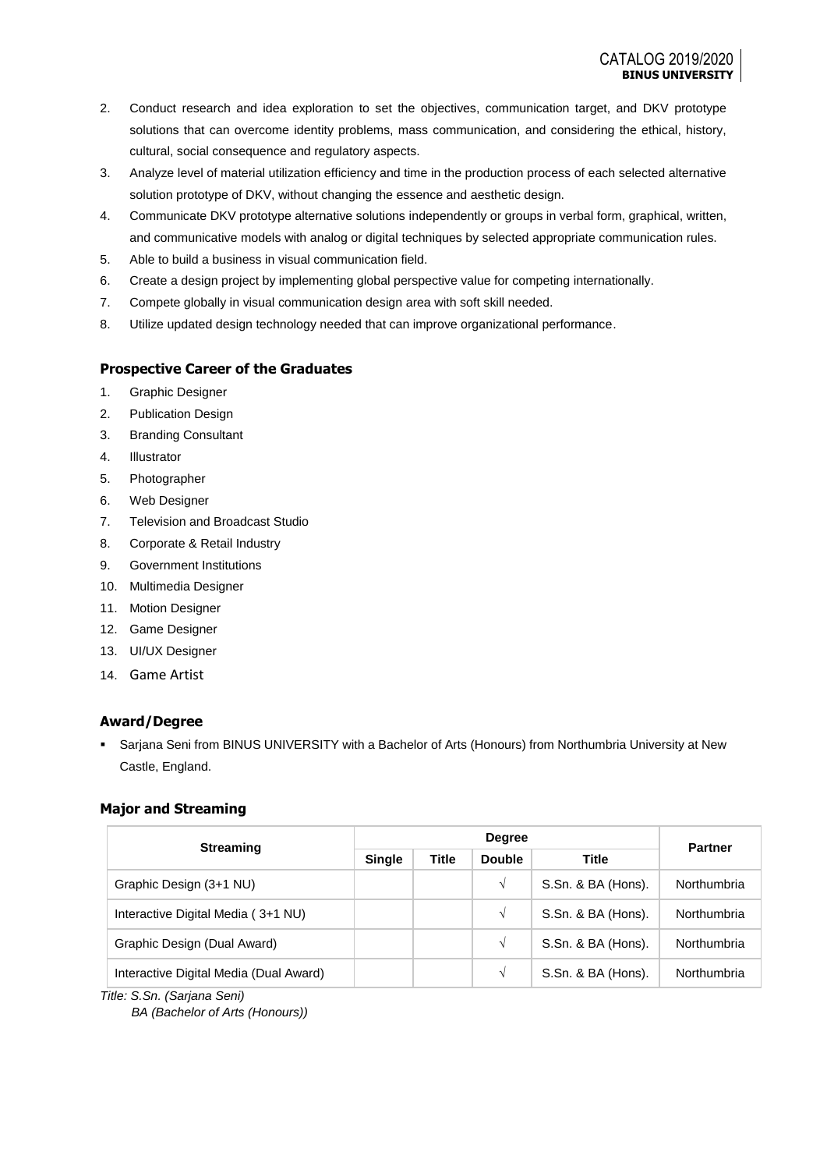- 2. Conduct research and idea exploration to set the objectives, communication target, and DKV prototype solutions that can overcome identity problems, mass communication, and considering the ethical, history, cultural, social consequence and regulatory aspects.
- 3. Analyze level of material utilization efficiency and time in the production process of each selected alternative solution prototype of DKV, without changing the essence and aesthetic design.
- 4. Communicate DKV prototype alternative solutions independently or groups in verbal form, graphical, written, and communicative models with analog or digital techniques by selected appropriate communication rules.
- 5. Able to build a business in visual communication field.
- 6. Create a design project by implementing global perspective value for competing internationally.
- 7. Compete globally in visual communication design area with soft skill needed.
- 8. Utilize updated design technology needed that can improve organizational performance.

## **Prospective Career of the Graduates**

- 1. Graphic Designer
- 2. Publication Design
- 3. Branding Consultant
- 4. Illustrator
- 5. Photographer
- 6. Web Designer
- 7. Television and Broadcast Studio
- 8. Corporate & Retail Industry
- 9. Government Institutions
- 10. Multimedia Designer
- 11. Motion Designer
- 12. Game Designer
- 13. UI/UX Designer
- 14. Game Artist

## **Award/Degree**

▪ Sarjana Seni from BINUS UNIVERSITY with a Bachelor of Arts (Honours) from Northumbria University at New Castle, England.

## **Major and Streaming**

| <b>Streaming</b>                       |               |              | <b>Degree</b> |                    | <b>Partner</b> |  |
|----------------------------------------|---------------|--------------|---------------|--------------------|----------------|--|
|                                        | <b>Single</b> | <b>Title</b> | <b>Double</b> | <b>Title</b>       |                |  |
| Graphic Design (3+1 NU)                |               |              | V             | S.Sn. & BA (Hons). | Northumbria    |  |
| Interactive Digital Media (3+1 NU)     |               |              | V             | S.Sn. & BA (Hons). | Northumbria    |  |
| Graphic Design (Dual Award)            |               |              | V             | S.Sn. & BA (Hons). | Northumbria    |  |
| Interactive Digital Media (Dual Award) |               |              | V             | S.Sn. & BA (Hons). | Northumbria    |  |

*Title: S.Sn. (Sarjana Seni)*

*BA (Bachelor of Arts (Honours))*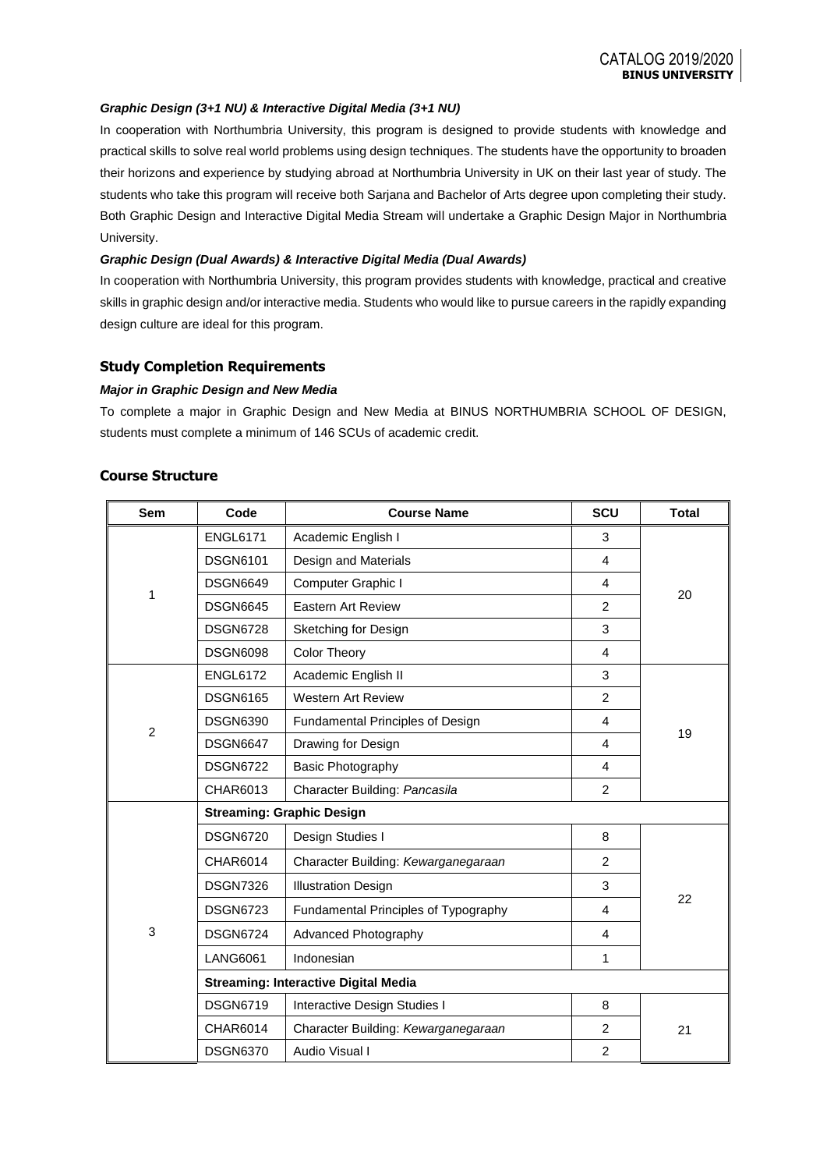#### *Graphic Design (3+1 NU) & Interactive Digital Media (3+1 NU)*

In cooperation with Northumbria University, this program is designed to provide students with knowledge and practical skills to solve real world problems using design techniques. The students have the opportunity to broaden their horizons and experience by studying abroad at Northumbria University in UK on their last year of study. The students who take this program will receive both Sarjana and Bachelor of Arts degree upon completing their study. Both Graphic Design and Interactive Digital Media Stream will undertake a Graphic Design Major in Northumbria University.

#### *Graphic Design (Dual Awards) & Interactive Digital Media (Dual Awards)*

In cooperation with Northumbria University, this program provides students with knowledge, practical and creative skills in graphic design and/or interactive media. Students who would like to pursue careers in the rapidly expanding design culture are ideal for this program.

#### **Study Completion Requirements**

#### *Major in Graphic Design and New Media*

To complete a major in Graphic Design and New Media at BINUS NORTHUMBRIA SCHOOL OF DESIGN, students must complete a minimum of 146 SCUs of academic credit.

#### **Course Structure**

| Sem            | Code                                        | <b>Course Name</b>                   | SCU            | <b>Total</b> |  |  |  |  |
|----------------|---------------------------------------------|--------------------------------------|----------------|--------------|--|--|--|--|
|                | <b>ENGL6171</b>                             | Academic English I                   | 3              |              |  |  |  |  |
|                | <b>DSGN6101</b>                             | Design and Materials                 | 4              |              |  |  |  |  |
|                | <b>DSGN6649</b>                             | Computer Graphic I                   | 4              |              |  |  |  |  |
| 1              | <b>DSGN6645</b>                             | Eastern Art Review                   | $\overline{2}$ | 20           |  |  |  |  |
|                | <b>DSGN6728</b>                             | Sketching for Design                 | 3              |              |  |  |  |  |
|                | <b>DSGN6098</b>                             | <b>Color Theory</b>                  | 4              |              |  |  |  |  |
|                | <b>ENGL6172</b>                             | Academic English II                  | 3              |              |  |  |  |  |
|                | <b>DSGN6165</b>                             | <b>Western Art Review</b>            | $\overline{2}$ |              |  |  |  |  |
| $\overline{2}$ | <b>DSGN6390</b>                             | Fundamental Principles of Design     | 4              |              |  |  |  |  |
|                | <b>DSGN6647</b>                             | Drawing for Design                   | 4              | 19           |  |  |  |  |
|                | <b>DSGN6722</b>                             | Basic Photography                    | 4              |              |  |  |  |  |
|                | CHAR6013                                    | Character Building: Pancasila        | $\overline{2}$ |              |  |  |  |  |
|                | <b>Streaming: Graphic Design</b>            |                                      |                |              |  |  |  |  |
|                | <b>DSGN6720</b>                             | Design Studies I                     | 8              |              |  |  |  |  |
|                | <b>CHAR6014</b>                             | Character Building: Kewarganegaraan  | $\overline{2}$ |              |  |  |  |  |
|                | <b>DSGN7326</b>                             | <b>Illustration Design</b>           | 3              |              |  |  |  |  |
|                | <b>DSGN6723</b>                             | Fundamental Principles of Typography | 4              | 22           |  |  |  |  |
| 3              | <b>DSGN6724</b>                             | Advanced Photography                 | 4              |              |  |  |  |  |
|                | <b>LANG6061</b>                             | Indonesian                           | 1              |              |  |  |  |  |
|                | <b>Streaming: Interactive Digital Media</b> |                                      |                |              |  |  |  |  |
|                | <b>DSGN6719</b>                             | Interactive Design Studies I         | 8              |              |  |  |  |  |
|                | <b>CHAR6014</b>                             | Character Building: Kewarganegaraan  | 2              | 21           |  |  |  |  |
|                | <b>DSGN6370</b>                             | Audio Visual I                       | $\overline{2}$ |              |  |  |  |  |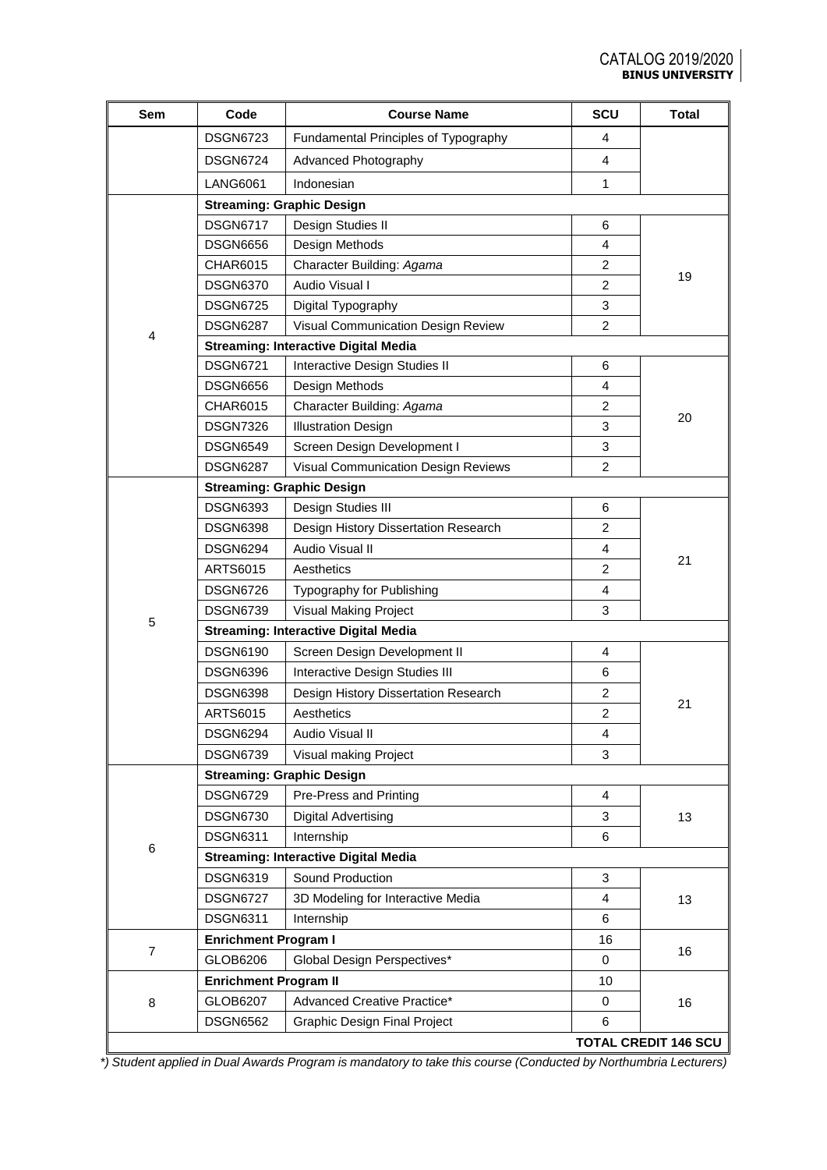| Sem            | Code                         | <b>Course Name</b>                          | SCU            | <b>Total</b>                |
|----------------|------------------------------|---------------------------------------------|----------------|-----------------------------|
|                | <b>DSGN6723</b>              | Fundamental Principles of Typography        | 4              |                             |
|                | <b>DSGN6724</b>              | Advanced Photography                        | 4              |                             |
|                | <b>LANG6061</b>              | Indonesian                                  | 1              |                             |
|                |                              | <b>Streaming: Graphic Design</b>            |                |                             |
|                | <b>DSGN6717</b>              | Design Studies II                           | 6              |                             |
|                | <b>DSGN6656</b>              | Design Methods                              | 4              |                             |
|                | CHAR6015                     | Character Building: Agama                   | 2              |                             |
|                | <b>DSGN6370</b>              | Audio Visual I                              | 2              | 19                          |
|                | <b>DSGN6725</b>              | Digital Typography                          | 3              |                             |
|                | <b>DSGN6287</b>              | Visual Communication Design Review          | $\overline{2}$ |                             |
| $\overline{4}$ |                              | <b>Streaming: Interactive Digital Media</b> |                |                             |
|                | <b>DSGN6721</b>              | Interactive Design Studies II               | 6              |                             |
|                | <b>DSGN6656</b>              | Design Methods                              | 4              |                             |
|                | CHAR6015                     | Character Building: Agama                   | $\overline{2}$ |                             |
|                | <b>DSGN7326</b>              | <b>Illustration Design</b>                  | 3              | 20                          |
|                | <b>DSGN6549</b>              | Screen Design Development I                 | 3              |                             |
|                | <b>DSGN6287</b>              | Visual Communication Design Reviews         | $\overline{c}$ |                             |
|                |                              | <b>Streaming: Graphic Design</b>            |                |                             |
|                | <b>DSGN6393</b>              | Design Studies III                          | 6              |                             |
|                | <b>DSGN6398</b>              | Design History Dissertation Research        | $\overline{c}$ |                             |
|                | <b>DSGN6294</b>              | Audio Visual II                             | 4              | 21                          |
|                | <b>ARTS6015</b>              | Aesthetics                                  | $\overline{c}$ |                             |
|                | <b>DSGN6726</b>              | Typography for Publishing                   | 4              |                             |
|                | <b>DSGN6739</b>              | Visual Making Project                       | 3              |                             |
| 5              |                              | <b>Streaming: Interactive Digital Media</b> |                |                             |
|                | <b>DSGN6190</b>              | Screen Design Development II                | 4              |                             |
|                | <b>DSGN6396</b>              | Interactive Design Studies III              | 6              |                             |
|                | <b>DSGN6398</b>              | Design History Dissertation Research        | $\overline{c}$ | 21                          |
|                | ARTS6015                     | Aesthetics                                  | 2              |                             |
|                | <b>DSGN6294</b>              | Audio Visual II                             | 4              |                             |
|                | <b>DSGN6739</b>              | Visual making Project                       | 3              |                             |
|                |                              | <b>Streaming: Graphic Design</b>            |                |                             |
|                | <b>DSGN6729</b>              | Pre-Press and Printing                      | 4              |                             |
|                | <b>DSGN6730</b>              | <b>Digital Advertising</b>                  | 3              | 13                          |
| 6              | <b>DSGN6311</b>              | Internship                                  | 6              |                             |
|                |                              | <b>Streaming: Interactive Digital Media</b> |                |                             |
|                | <b>DSGN6319</b>              | Sound Production                            | 3              |                             |
|                | <b>DSGN6727</b>              | 3D Modeling for Interactive Media           | 4              | 13                          |
|                | <b>DSGN6311</b>              | Internship                                  | 6              |                             |
| $\overline{7}$ | <b>Enrichment Program I</b>  |                                             | 16             | 16                          |
|                | GLOB6206                     | Global Design Perspectives*                 | $\mathbf 0$    |                             |
|                | <b>Enrichment Program II</b> |                                             | 10             |                             |
| 8              | GLOB6207                     | Advanced Creative Practice*                 | 0              | 16                          |
|                | <b>DSGN6562</b>              | <b>Graphic Design Final Project</b>         | 6              |                             |
|                |                              |                                             |                | <b>TOTAL CREDIT 146 SCU</b> |

*\*) Student applied in Dual Awards Program is mandatory to take this course (Conducted by Northumbria Lecturers)*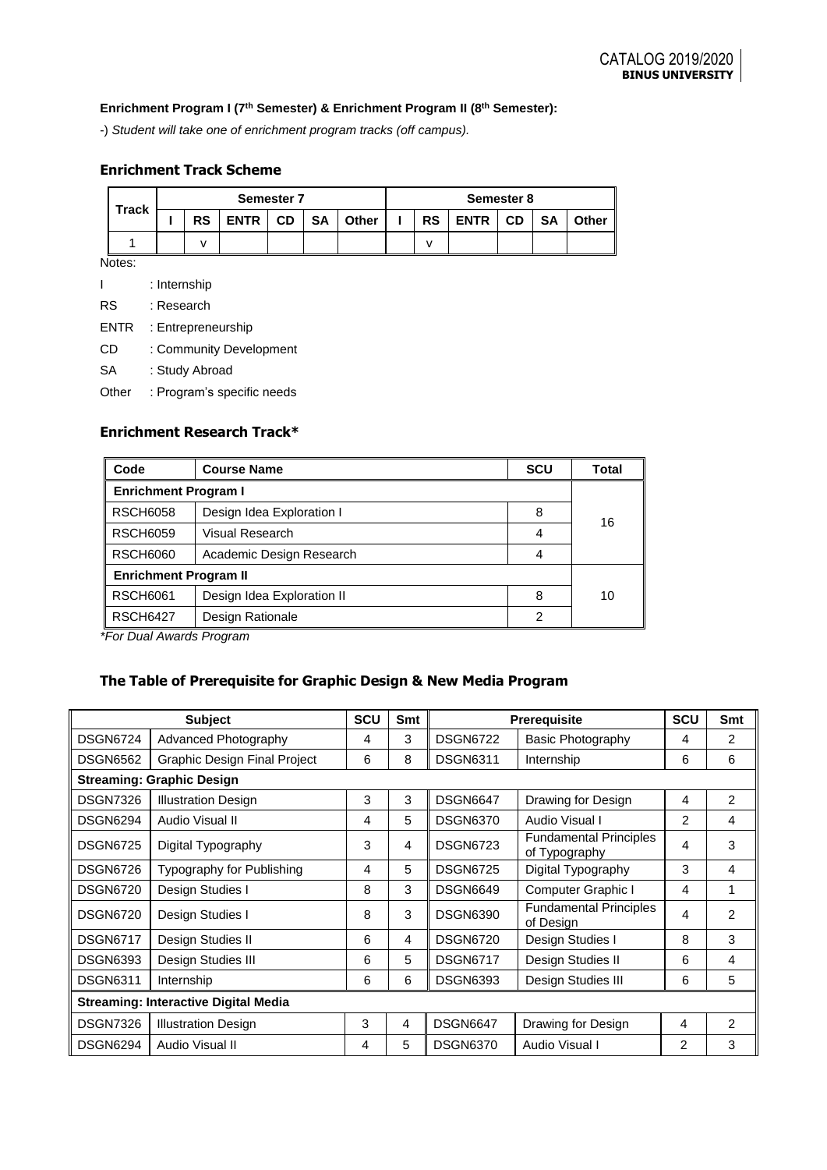## **Enrichment Program I (7th Semester) & Enrichment Program II (8th Semester):**

-) *Student will take one of enrichment program tracks (off campus).*

## **Enrichment Track Scheme**

| <b>Track</b> | <b>Semester 7</b> |           |      |           |           |       |           | Semester 8    |           |           |       |
|--------------|-------------------|-----------|------|-----------|-----------|-------|-----------|---------------|-----------|-----------|-------|
|              |                   | <b>RS</b> | ENTR | <b>CD</b> | <b>SA</b> | Other | <b>RS</b> | ENTR <b>N</b> | <b>CD</b> | <b>SA</b> | Other |
|              |                   |           |      |           |           |       |           |               |           |           |       |

Notes:

|             | : Internship               |
|-------------|----------------------------|
| <b>RS</b>   | : Research                 |
| <b>ENTR</b> | : Entrepreneurship         |
| CD          | : Community Development    |
| SA          | : Study Abroad             |
| Other       | : Program's specific needs |

## **Enrichment Research Track\***

| Code                         | <b>Course Name</b>         | <b>SCU</b> | Total |  |  |
|------------------------------|----------------------------|------------|-------|--|--|
| <b>Enrichment Program I</b>  |                            |            |       |  |  |
| <b>RSCH6058</b>              | Design Idea Exploration I  |            |       |  |  |
| <b>RSCH6059</b>              | Visual Research            |            |       |  |  |
| <b>RSCH6060</b>              | Academic Design Research   | 4          |       |  |  |
| <b>Enrichment Program II</b> |                            |            |       |  |  |
| <b>RSCH6061</b>              | Design Idea Exploration II | 8          | 10    |  |  |
| <b>RSCH6427</b>              | Design Rationale           | 2          |       |  |  |

*\*For Dual Awards Program* 

## **The Table of Prerequisite for Graphic Design & New Media Program**

| <b>Subject</b>                              |                                     |   | <b>Smt</b> |                                                                   | <b>Prerequisite</b>                        | <b>SCU</b> | Smt            |  |
|---------------------------------------------|-------------------------------------|---|------------|-------------------------------------------------------------------|--------------------------------------------|------------|----------------|--|
| <b>DSGN6724</b>                             | Advanced Photography                | 4 | 3          | <b>DSGN6722</b>                                                   | Basic Photography                          | 4          | 2              |  |
| <b>DSGN6562</b>                             | <b>Graphic Design Final Project</b> | 6 | 8          | <b>DSGN6311</b>                                                   | Internship                                 | 6          | 6              |  |
| <b>Streaming: Graphic Design</b>            |                                     |   |            |                                                                   |                                            |            |                |  |
| <b>DSGN7326</b>                             | <b>Illustration Design</b>          | 3 | 3          | <b>DSGN6647</b>                                                   | Drawing for Design                         | 4          | $\overline{2}$ |  |
| <b>DSGN6294</b>                             | Audio Visual II                     | 4 | 5          | <b>DSGN6370</b>                                                   | Audio Visual I                             | 2          | 4              |  |
| <b>DSGN6725</b>                             | Digital Typography                  | 3 | 4          | <b>Fundamental Principles</b><br><b>DSGN6723</b><br>of Typography |                                            | 4          | 3              |  |
| <b>DSGN6726</b>                             | Typography for Publishing           | 4 | 5          | <b>DSGN6725</b>                                                   | Digital Typography                         | 3          | 4              |  |
| <b>DSGN6720</b>                             | Design Studies I                    | 8 | 3          | <b>DSGN6649</b>                                                   | Computer Graphic I                         | 4          | 1              |  |
| <b>DSGN6720</b>                             | Design Studies I                    | 8 | 3          | <b>DSGN6390</b>                                                   | <b>Fundamental Principles</b><br>of Design |            | $\mathcal{P}$  |  |
| <b>DSGN6717</b>                             | Design Studies II                   | 6 | 4          | <b>DSGN6720</b>                                                   | Design Studies I                           | 8          | 3              |  |
| <b>DSGN6393</b>                             | Design Studies III                  | 6 | 5          | <b>DSGN6717</b>                                                   | Design Studies II                          | 6          | 4              |  |
| <b>DSGN6311</b>                             | Internship                          | 6 | 6          | <b>DSGN6393</b>                                                   | Design Studies III                         | 6          | 5              |  |
| <b>Streaming: Interactive Digital Media</b> |                                     |   |            |                                                                   |                                            |            |                |  |
| <b>DSGN7326</b>                             | <b>Illustration Design</b>          | 3 | 4          | <b>DSGN6647</b>                                                   | Drawing for Design                         | 4          | $\overline{2}$ |  |
| <b>DSGN6294</b>                             | Audio Visual II                     | 4 | 5          | <b>DSGN6370</b>                                                   | Audio Visual I                             | 2          | 3              |  |